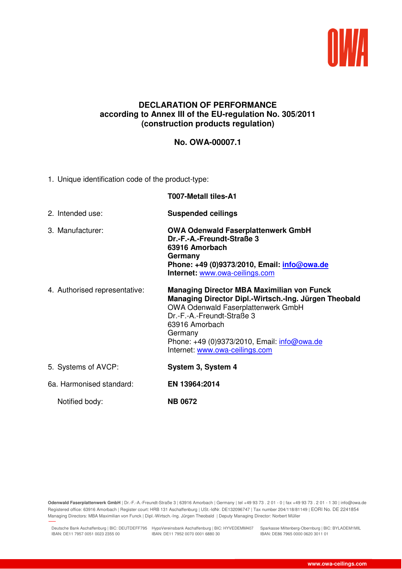

## **DECLARATION OF PERFORMANCE according to Annex III of the EU-regulation No. 305/2011 (construction products regulation)**

## **No. OWA-00007.1**

1. Unique identification code of the product-type:

|                               | <b>T007-Metall tiles-A1</b>                                                                                                                                                                                                                                                                         |
|-------------------------------|-----------------------------------------------------------------------------------------------------------------------------------------------------------------------------------------------------------------------------------------------------------------------------------------------------|
| 2. Intended use:              | <b>Suspended ceilings</b>                                                                                                                                                                                                                                                                           |
| 3. Manufacturer:              | <b>OWA Odenwald Faserplattenwerk GmbH</b><br>Dr.-F.-A.-Freundt-Straße 3<br>63916 Amorbach<br>Germany<br>Phone: +49 (0)9373/2010, Email: info@owa.de<br>Internet: www.owa-ceilings.com                                                                                                               |
| 4. Authorised representative: | <b>Managing Director MBA Maximilian von Funck</b><br>Managing Director Dipl.-Wirtsch.-Ing. Jürgen Theobald<br><b>OWA Odenwald Faserplattenwerk GmbH</b><br>Dr.-F.-A.-Freundt-Straße 3<br>63916 Amorbach<br>Germany<br>Phone: +49 (0)9373/2010, Email: info@owa.de<br>Internet: www.owa-ceilings.com |
| 5. Systems of AVCP:           | System 3, System 4                                                                                                                                                                                                                                                                                  |
| 6a. Harmonised standard:      | EN 13964:2014                                                                                                                                                                                                                                                                                       |
| Notified body:                | <b>NB 0672</b>                                                                                                                                                                                                                                                                                      |

**Odenwald Faserplattenwerk GmbH** | Dr.-F.-A.-Freundt-Straße 3 | 63916 Amorbach | Germany | tel +49 93 73 . 2 01 - 0 | fax +49 93 73 . 2 01 - 1 30 | info@owa.de Registered office: 63916 Amorbach | Register court: HRB 131 Aschaffenburg | USt.-IdNr. DE132096747 | Tax number 204/118/81149 | EORI No. DE 2241854 Managing Directors: MBA Maximilian von Funck | Dipl.-Wirtsch.-Ing. Jürgen Theobald | Deputy Managing Director: Norbert Müller

Deutsche Bank Aschaffenburg | BIC: DEUTDEFF795 HypoVereinsbank Aschaffenburg | BIC: HYVEDEMM407 Sparkasse Miltenberg-Obernburg | BIC: BYLADEM1MIL IBAN: DE11 7957 0051 0023 2355 00 IBAN: DE11 7952 0070 0001 6880 30

27.11.2018 11:34

IBAN: DE86 7965 0000 0620 3011 01